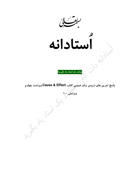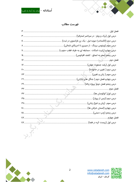

RE C



### فهرست مطالب

|            | فصل اول |
|------------|---------|
|            |         |
|            |         |
|            |         |
|            |         |
|            |         |
|            |         |
|            |         |
|            |         |
|            |         |
|            |         |
|            |         |
|            |         |
|            |         |
|            |         |
|            |         |
|            |         |
|            |         |
| $\epsilon$ |         |
| EV         |         |
| <b>EY</b>  |         |





Ğ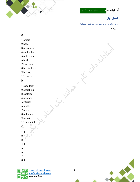

اُ**ستادانه –** همانند یک اُستاد یاد بگیرید!

**فصل اول**<br>درس اول (برک و ويلز : در سرتاسر استراليا) تمرین ها

S JU BINES

#### a a complex and a complex and a complex and a complex and a complex and a complex and a complex and

- 1.ordera
- 2.base
- 3.aborigines
- 4.exploration
- 5.gets along
- 6.built
- 7.loneliness
- 8.hemisphere
- 9.halfway
- 10.heroes

## b<sub>a</sub> barang ang pangangan ang pangangang ang pangangang ang pangangang ang pangang ang pangang ang pangang ang pangang ang pangang ang pangang ang pangang ang pangang ang pangang ang pangang ang pangang ang pangang ang pan

- 1.expedition
- 2.searching the contract of the contract of the contract of the contract of the contract of the contract of the contract of the contract of the contract of the contract of the contract of the contract of the contract of th
- 3.explored
- 4.swamps
- 5.interior
- 6.finally  $7.$ party
- 
- 8.got along
- 9.supplies
- 10.turned into

## $\mathbf{C}$  (  $\Box$

- 1. Figure 1. Figure 1. Figure 1. Figure 1. Figure 1. Figure 1. Figure 1. Figure 1. Figure 1. Figure 1. Figure 1. Figure 1. Figure 1. Figure 1. Figure 1. Figure 1. Figure 1. Figure 1. Figure 1. Figure 1. Figure 1. Figure 1 2.  $\mathbf{L}$  $3. T$ 4. F 5. T
- 6. T
- 
- 8. F



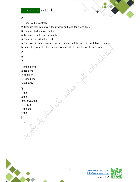

ىي

- $\mathbf d$
- 1. They lived in Australia
- 2. Because they can stay without water and food for a long time
- 3. They wanted to move faster
- 4. Because it had very bad weather
- 5. They died or killed for food

6. The expedition had an inexperienced leader and the men did not followed orders because they were the first persons who decide to travel to Australia 7. Yes,

| e                 |
|-------------------|
| $\overline{2}$    |
| f                 |
| 1.broke down      |
| 2.get along       |
| 3.called on       |
| 4. Turned into    |
| 5.put away        |
| $\boldsymbol{g}$  |
| 1.the             |
| 2.the             |
| the, an, 3.-, the |
| $4.$ -, -, a, a   |
| 5.the, the        |
| $6$ , the, $-$    |
| $\mathsf{h}$      |
| انشا              |



 $\mathcal{X}$ 

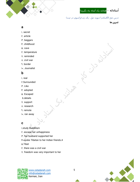

اُ**ستادانه –** <mark>همانند یک اُستاد یاد بگیرید!</mark>

U VOID CL

درس دوم (الكساندرا ديويد-نيل : يك زن فرانسوي در تبت)

تمرین ها

### a

- ۱. secret
- ۲. article
- ۳. beggars
- ۴. childhood
- ۵. cave
- ۶. temperature
- ۷. reminded
- ۸. civil war
- ۹. border
- ۱۰. Journalist

## b<sub>a</sub>

- ۱. real
- ۲.Surrounded
- ۳. Like
- ۴. adopted
- ۵. Escaped
- 6.details
- ۷. support
- ۸. research
- ۹. remote
- ۱۰. ran away

## c  $\sqrt{2}$

- ۱.study Buddhism
- ۲. escape her unhappiness
- ۳. her husband supported her
- ۴۰spoke Tibetan to her Indian friends.4
- ۵.Tibet
- ۶. there was a civil war
- ۷. freedom was very important to her





Live.